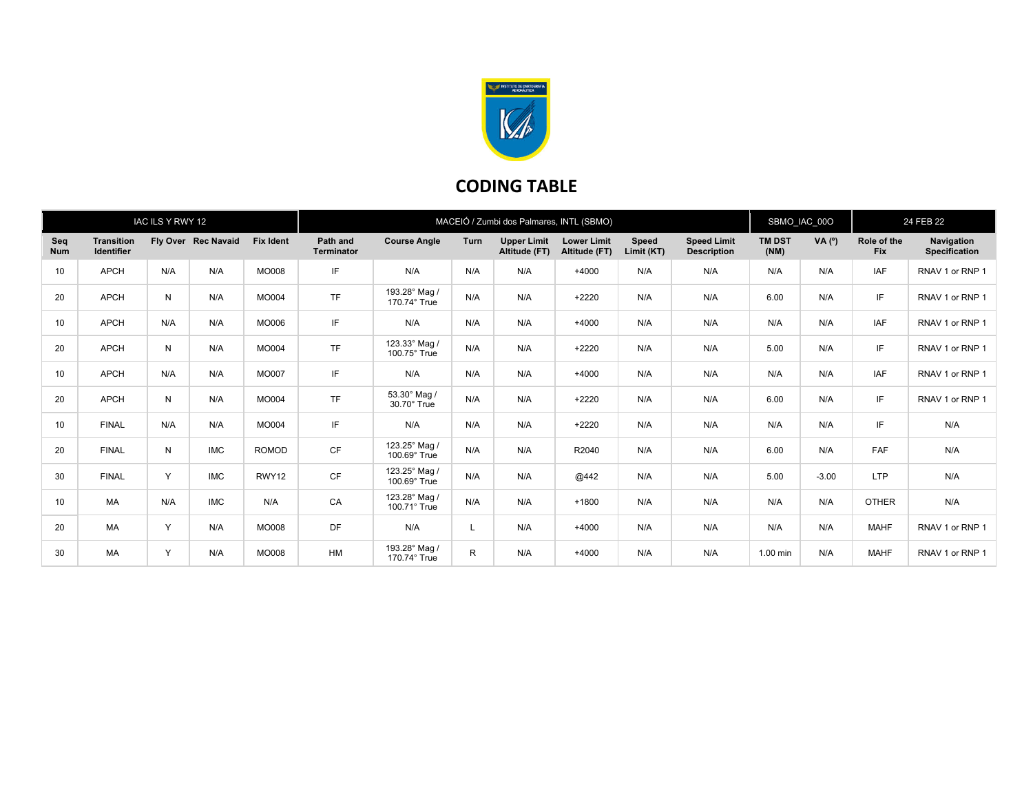

## CODING TABLE

| IAC ILS Y RWY 12  |                                        |     |                     |                  | MACEIÓ / Zumbi dos Palmares, INTL (SBMO) |                               |             |                                     |                                     |                            |                                          | SBMO_IAC_00O          |         | 24 FEB 22                 |                                    |
|-------------------|----------------------------------------|-----|---------------------|------------------|------------------------------------------|-------------------------------|-------------|-------------------------------------|-------------------------------------|----------------------------|------------------------------------------|-----------------------|---------|---------------------------|------------------------------------|
| Seq<br><b>Num</b> | <b>Transition</b><br><b>Identifier</b> |     | Fly Over Rec Navaid | <b>Fix Ident</b> | Path and<br><b>Terminator</b>            | <b>Course Angle</b>           | <b>Turn</b> | <b>Upper Limit</b><br>Altitude (FT) | <b>Lower Limit</b><br>Altitude (FT) | <b>Speed</b><br>Limit (KT) | <b>Speed Limit</b><br><b>Description</b> | <b>TM DST</b><br>(NM) | VA (°)  | Role of the<br><b>Fix</b> | Navigation<br><b>Specification</b> |
| 10                | <b>APCH</b>                            | N/A | N/A                 | <b>MO008</b>     | IF                                       | N/A                           | N/A         | N/A                                 | $+4000$                             | N/A                        | N/A                                      | N/A                   | N/A     | <b>IAF</b>                | RNAV 1 or RNP 1                    |
| 20                | <b>APCH</b>                            | N   | N/A                 | <b>MO004</b>     | <b>TF</b>                                | 193.28° Mag /<br>170.74° True | N/A         | N/A                                 | $+2220$                             | N/A                        | N/A                                      | 6.00                  | N/A     | IF.                       | RNAV 1 or RNP 1                    |
| 10                | <b>APCH</b>                            | N/A | N/A                 | MO006            | IF                                       | N/A                           | N/A         | N/A                                 | $+4000$                             | N/A                        | N/A                                      | N/A                   | N/A     | IAF                       | RNAV 1 or RNP 1                    |
| 20                | <b>APCH</b>                            | N   | N/A                 | MO004            | <b>TF</b>                                | 123.33° Mag /<br>100.75° True | N/A         | N/A                                 | $+2220$                             | N/A                        | N/A                                      | 5.00                  | N/A     | IF.                       | RNAV 1 or RNP 1                    |
| 10                | <b>APCH</b>                            | N/A | N/A                 | <b>MO007</b>     | IF                                       | N/A                           | N/A         | N/A                                 | $+4000$                             | N/A                        | N/A                                      | N/A                   | N/A     | IAF                       | RNAV 1 or RNP 1                    |
| 20                | <b>APCH</b>                            | N   | N/A                 | <b>MO004</b>     | <b>TF</b>                                | 53.30° Mag /<br>30.70° True   | N/A         | N/A                                 | $+2220$                             | N/A                        | N/A                                      | 6.00                  | N/A     | IF.                       | RNAV 1 or RNP 1                    |
| 10                | <b>FINAL</b>                           | N/A | N/A                 | MO004            | IF                                       | N/A                           | N/A         | N/A                                 | $+2220$                             | N/A                        | N/A                                      | N/A                   | N/A     | IF                        | N/A                                |
| 20                | <b>FINAL</b>                           | N   | <b>IMC</b>          | <b>ROMOD</b>     | CF                                       | 123.25° Mag /<br>100.69° True | N/A         | N/A                                 | R2040                               | N/A                        | N/A                                      | 6.00                  | N/A     | FAF                       | N/A                                |
| 30                | <b>FINAL</b>                           | Y   | <b>IMC</b>          | RWY12            | CF                                       | 123.25° Mag /<br>100.69° True | N/A         | N/A                                 | @442                                | N/A                        | N/A                                      | 5.00                  | $-3.00$ | <b>LTP</b>                | N/A                                |
| 10                | MA                                     | N/A | <b>IMC</b>          | N/A              | CA                                       | 123.28° Mag /<br>100.71° True | N/A         | N/A                                 | $+1800$                             | N/A                        | N/A                                      | N/A                   | N/A     | <b>OTHER</b>              | N/A                                |
| 20                | <b>MA</b>                              | Y   | N/A                 | <b>MO008</b>     | DF                                       | N/A                           |             | N/A                                 | $+4000$                             | N/A                        | N/A                                      | N/A                   | N/A     | <b>MAHF</b>               | RNAV 1 or RNP 1                    |
| 30                | <b>MA</b>                              | Y   | N/A                 | <b>MO008</b>     | HM                                       | 193.28° Mag /<br>170.74° True | R           | N/A                                 | $+4000$                             | N/A                        | N/A                                      | 1.00 min              | N/A     | <b>MAHF</b>               | RNAV 1 or RNP 1                    |